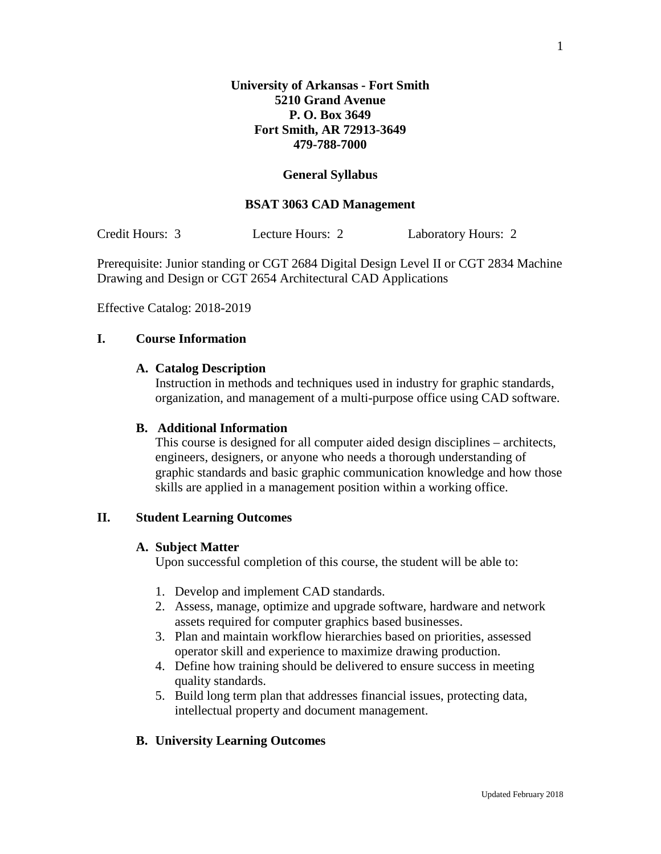### **General Syllabus**

#### **BSAT 3063 CAD Management**

Credit Hours: 3 Lecture Hours: 2 Laboratory Hours: 2

Prerequisite: Junior standing or CGT 2684 Digital Design Level II or CGT 2834 Machine Drawing and Design or CGT 2654 Architectural CAD Applications

Effective Catalog: 2018-2019

## **I. Course Information**

#### **A. Catalog Description**

Instruction in methods and techniques used in industry for graphic standards, organization, and management of a multi-purpose office using CAD software.

#### **B. Additional Information**

This course is designed for all computer aided design disciplines – architects, engineers, designers, or anyone who needs a thorough understanding of graphic standards and basic graphic communication knowledge and how those skills are applied in a management position within a working office.

### **II. Student Learning Outcomes**

#### **A. Subject Matter**

Upon successful completion of this course, the student will be able to:

- 1. Develop and implement CAD standards.
- 2. Assess, manage, optimize and upgrade software, hardware and network assets required for computer graphics based businesses.
- 3. Plan and maintain workflow hierarchies based on priorities, assessed operator skill and experience to maximize drawing production.
- 4. Define how training should be delivered to ensure success in meeting quality standards.
- 5. Build long term plan that addresses financial issues, protecting data, intellectual property and document management.

## **B. University Learning Outcomes**